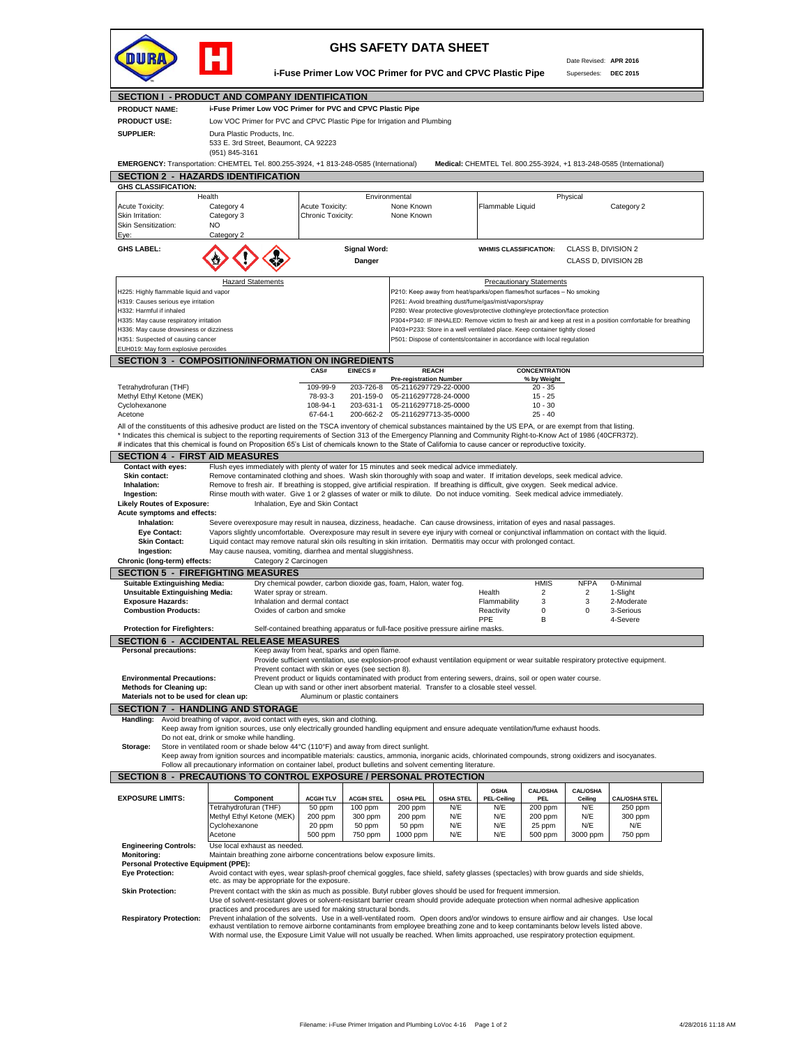

## **GHS SAFETY DATA SHEET**

**i-Fuse Primer Low VOC Primer for PVC and CPVC Plastic Pipe**

Date Revised: **APR 2016** Supersedes: **DEC 2015**

**SECTION I - PRODUCT AND COMPANY IDENTIFICATION i-Fuse Primer Low VOC Primer for PVC and CPVC Plastic Pipe** Low VOC Primer for PVC and CPVC Plastic Pipe for Irrigation and Plumbing Dura Plastic Products, Inc. 533 E. 3rd Street, Beaumont, CA 92223 (951) 845-3161 **EMERGENCY:** Transportation: CHEMTEL Tel. 800.255-3924, +1 813-248-0585 (International) **Medical:** CHEMTEL Tel. 800.255-3924, +1 813-248-0585 (International) **SECTION 2 - HAZARDS IDENTIFICATION** Acute Toxicity: Category 4 Acute Toxicity: None Known Flammable Liquid Category 2 Skin Irritation: Category 3 Chronic Toxicity: None Known Skin Sensitization: NO Eye: **GHS LABEL: A A Signal Word: WHMIS CLASSIFICATION:** CLASS B, DIVISION 2 **Danger** CLASS D, DIVISION 2B H225: Highly flammable liquid and vapor **P210: Keep away from heat/sparks/open flames/hot surfaces – No smoking** H319: Causes serious eye irritation ethnology and the series of the part of the P261: Avoid breathing dust/fume/gas/mist/vapors/spray<br>H332: Harmful if inhaled the part of the series of the series of the part of the part of H332: Harmful if inhaled<br>H335: May cause respiratory irritation examples: The P280: Wear protective gloves/protective clothing/eye protection/face protection<br>H335: May cause respiratory irritation examples: The P304+P340: P304+P340: IF INHALED: Remove victim to fresh air and keep at rest in a position comfortable for breathing H336: May cause drowsiness or dizziness exercises and the store in a well ventilated place. Keep container tightly closed<br>H351: Suspected of causing cancer exercise and the store in a well ventilated place. The store of co P501: Dispose of contents/container in accordance with local regulation EUH019: May form explosive peroxides **SECTION 3 - COMPOSITION/INFORMATION ON INGREDIENTS CAS# EINECS # CONCENTRATION Pre-registration Number** Tetrahydrofuran (THF) 109-99-9 203-726-8 05-2116297729-22-0000 20 - 35 Methyl Ethyl Ketone (MEK) 78-93-3 201-159-0 05-2116297728-24-0000 15 - 25 Cyclohexanone 108-94-1 203-631-1 05-2116297718-25-0000 10 - 30 200-662-2 05-2116297713-35-0000 All of the constituents of this adhesive product are listed on the TSCA inventory of chemical substances maintained by the US EPA, or are exempt from that listing. \* Indicates this chemical is subject to the reporting requirements of Section 313 of the Emergency Planning and Community Right-to-Know Act of 1986 (40CFR372).<br># indicates that this chemical is found on Proposition 65's Li **SECTION 4 - FIRST AID MEASURES Contact with eyes:** Flush eyes immediately with plenty of water for 15 minutes and seek medical advice immediately.<br>**Skin contact:** Remove contaminated clothing and shoes. Wash skin thoroughly with soap and water. If irri Skin contact: Remove contaminated clothing and shoes. Wash skin thoroughly with soap and water. If irritation develops, seek medical advice.<br>Inhalation: Remove to fresh air. If breathing is stopped, give artificial respira  **Ingestion:** Rinse mouth with water. Give 1 or 2 glasses of water or milk to dilute. Do not induce vomiting. Seek medical advice immediately. **Likely Routes of Exposure:** Inhalation, Eye and Skin Contact **Acute symptoms and effects:** Severe overexposure may result in nausea, dizziness, headache. Can cause drowsiness, irritation of eyes and nasal passages.  **Eye Contact:** Vapors slightly uncomfortable. Overexposure may result in severe eye injury with corneal or conjunctival inflammation on contact with the liquid. **Skin Contact:** Liquid contact may remove natural skin oils resulting in skin irritation. Dermatitis may occur with prolonged contact.<br>Ingestion: May cause nausea, vomiting, diarrhea and mental sluggishness. May cause nausea, vomiting, diarrhea and mental sluggishness<br> **Category 2 Carcinogen Chronic (long-term) effects: SECTION 5 - FIREFIGHTING MEASURES**<br>Suitable Extinguishing Media: Dry chemical p **Ingle Extinguishming Dry chemical powder, carbon dioxide gas, foam, Halon, water fog.** Health HMIS NFPA 0-Minimal Water spray or stream. **Unsuitable Extinguishing Media:** Water spray or stream.<br> **Exposure Hazards:** 2 1-Slight 2 2 1-Noderate Inhalation and dermal contact 2 2 1-Slight 2 1 2-Moderate **Exposure Hazards:** The Inhalation and dermal contact Contact Flammability 3 3 2-Moderates and Derman Contact Cont<br> **Combustion Products:** Coxides of carbon and smoke Computer Contact Reactivity 0 0 3-Serious **Oxides of carbon and smoke** PPE B 4-Severe  **Protection for Firefighters:** Self-contained breathing apparatus or full-face positive pressure airline masks. **SECTION 6 - ACCIDENTAL RELEASE MEASURES Personal precautions:** Keep away from heat, sparks and open flame Provide sufficient ventilation, use explosion-proof exhaust ventilation equipment or wear suitable respiratory protective equipment. Prevent contact with skin or eyes (see section 8). **Environmental Precautions:** Prevent product or liquids contaminated with product from entering sewers, drains, soil or open water course<br> **Methods for Cleaning up:** Clean up with sand or other inert absorbent material. Tr  **Methods for Cleaning up:** Clean up with sand or other inert absorbent material. Transfer to a closable steel vessel. **Materials not to be used for clean up: SECTION 7 - HANDLING AND STORAGE dling:** Avoid breathing of vapor, avoid contact with eyes, skin and clothing. Keep away from ignition sources, use only electrically grounded handling equipment and ensure adequate ventilation/fume exhaust hoods. Do not eat, drink or smoke while handling.  **Storage:** Store in ventilated room or shade below 44°C (110°F) and away from direct sunlight. Keep away from ignition sources and incompatible materials: caustics, ammonia, inorganic acids, chlorinated compounds, strong oxidizers and isocyanates.<br>Follow all precautionary information on container label, product bull **SECTION 8 - PRECAUTIONS TO CONTROL EXPOSURE / PERSONAL PROTECTION EXPOSURE LIMITS: ACGIH TLV ACGIH STEL OSHA PEL OSHA STEL OSHA PEL-Ceiling CAL/OSHA PEL CAL/OSHA Ceiling CAL/OSHA STEL** Tetrahydrofuran (THF) | 50 ppm | 100 ppm | 200 ppm | N/E | N/E | 200 ppm | N/E | 250 ppm<br>Methyl Ethyl Ketone (MEK) | 200 ppm | 300 ppm | 200 ppm | N/E | N/E | 200 ppm | N/E | 300 ppm Methyl Ethyl Ketone (MEK) 200 ppm 300 ppm 200 ppm N/E N/E 200 ppm N/E 300 ppm 20 ppm | 50 ppm | 50 ppm | N/E | N/E | 25 ppm | N/E | N/E Acetone 500 ppm 750 ppm 1000 ppm N/E N/E 500 ppm 3000 ppm 750 ppm **Engineering Controls:** Use local exhaust as needed.<br>**Monitoring:** Maintain breathing zone airbo Maintain breathing zone airborne concentrations below exposure limits. **Personal Protective Equipment (PPE):**<br>**Eve Protection:** Avoid contac  **Eye Protection:** Avoid contact with eyes, wear splash-proof chemical goggles, face shield, safety glasses (spectacles) with brow guards and side shields, etc. as may be appropriate for the exposure. **Skin Protection:** Prevent contact with the skin as much as possible. Butyl rubber gloves should be used for frequent immersion. Use of solvent-resistant gloves or solvent-resistant barrier cream should provide adequate protection when normal adhesive application practices and procedures are used for making structural bonds.  **Respiratory Protection:** Prevent inhalation of the solvents. Use in a well-ventilated room. Open doors and/or windows to ensure airflow and air changes. Use local exhaust ventilation to remove airborne contaminants from employee breathing zone and to keep contaminants below levels listed above. With normal use, the Exposure Limit Value will not usually be reached. When limits approached, use respiratory protection equipment. **REACH Component** Cyclohexanone Health Physical Environmental Environmental Physical Physical Physical Physical Physical Physical Physical Physical Physical Physical Physical Physical Physical Physical Physical Physical Physical Physical Physical Physica Category 2 **Hazard Statements Precautionary Statements Precautionary Statements PRODUCT NAME: PRODUCT USE: SUPPLIER: GHS CLASSIFICATION:**